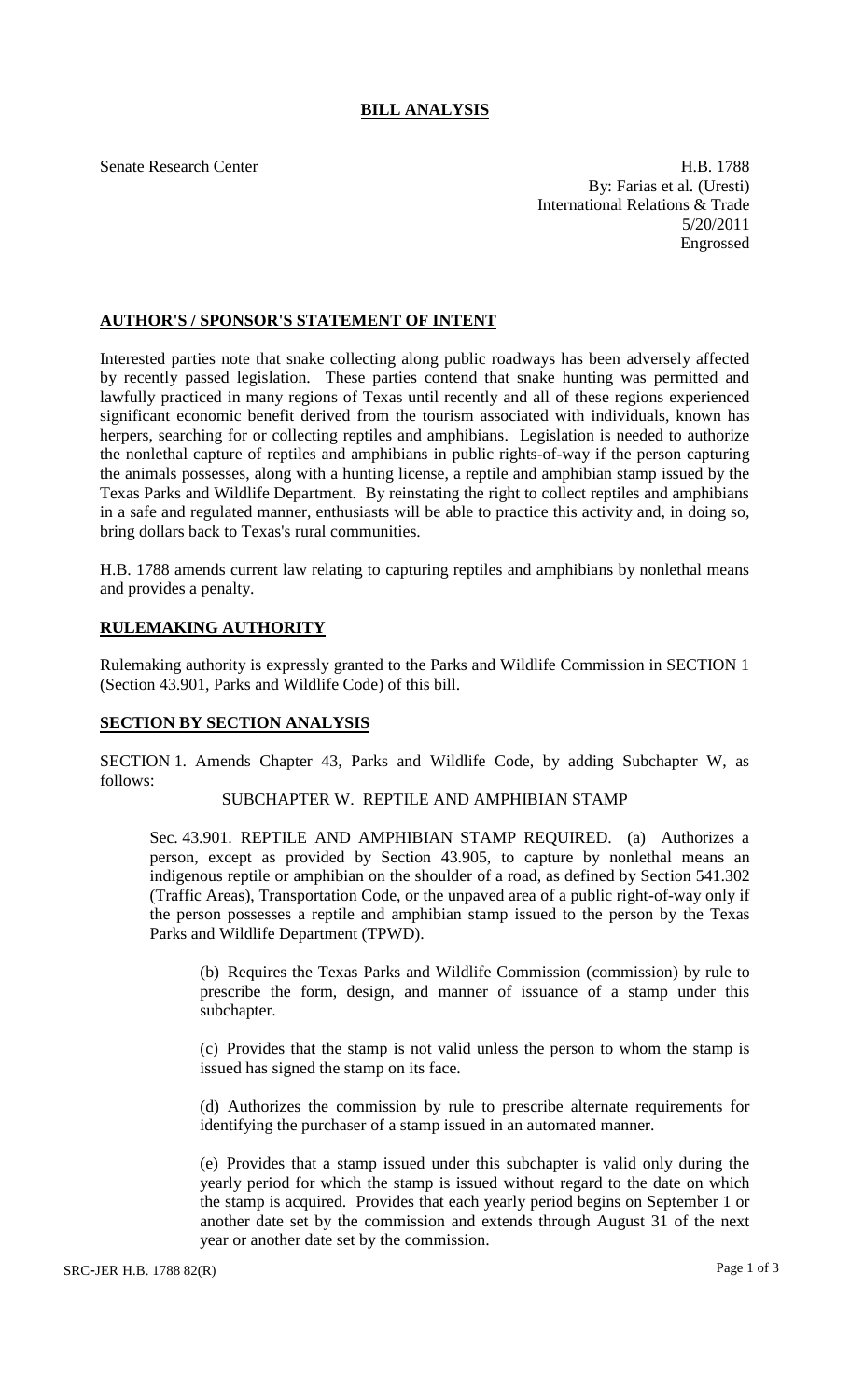## **BILL ANALYSIS**

Senate Research Center **H.B. 1788** By: Farias et al. (Uresti) International Relations & Trade 5/20/2011 Engrossed

### **AUTHOR'S / SPONSOR'S STATEMENT OF INTENT**

Interested parties note that snake collecting along public roadways has been adversely affected by recently passed legislation. These parties contend that snake hunting was permitted and lawfully practiced in many regions of Texas until recently and all of these regions experienced significant economic benefit derived from the tourism associated with individuals, known has herpers, searching for or collecting reptiles and amphibians. Legislation is needed to authorize the nonlethal capture of reptiles and amphibians in public rights-of-way if the person capturing the animals possesses, along with a hunting license, a reptile and amphibian stamp issued by the Texas Parks and Wildlife Department. By reinstating the right to collect reptiles and amphibians in a safe and regulated manner, enthusiasts will be able to practice this activity and, in doing so, bring dollars back to Texas's rural communities.

H.B. 1788 amends current law relating to capturing reptiles and amphibians by nonlethal means and provides a penalty.

## **RULEMAKING AUTHORITY**

Rulemaking authority is expressly granted to the Parks and Wildlife Commission in SECTION 1 (Section 43.901, Parks and Wildlife Code) of this bill.

### **SECTION BY SECTION ANALYSIS**

SECTION 1. Amends Chapter 43, Parks and Wildlife Code, by adding Subchapter W, as follows:

# SUBCHAPTER W. REPTILE AND AMPHIBIAN STAMP

Sec. 43.901. REPTILE AND AMPHIBIAN STAMP REQUIRED. (a) Authorizes a person, except as provided by Section 43.905, to capture by nonlethal means an indigenous reptile or amphibian on the shoulder of a road, as defined by Section 541.302 (Traffic Areas), Transportation Code, or the unpaved area of a public right-of-way only if the person possesses a reptile and amphibian stamp issued to the person by the Texas Parks and Wildlife Department (TPWD).

(b) Requires the Texas Parks and Wildlife Commission (commission) by rule to prescribe the form, design, and manner of issuance of a stamp under this subchapter.

(c) Provides that the stamp is not valid unless the person to whom the stamp is issued has signed the stamp on its face.

(d) Authorizes the commission by rule to prescribe alternate requirements for identifying the purchaser of a stamp issued in an automated manner.

(e) Provides that a stamp issued under this subchapter is valid only during the yearly period for which the stamp is issued without regard to the date on which the stamp is acquired. Provides that each yearly period begins on September 1 or another date set by the commission and extends through August 31 of the next year or another date set by the commission.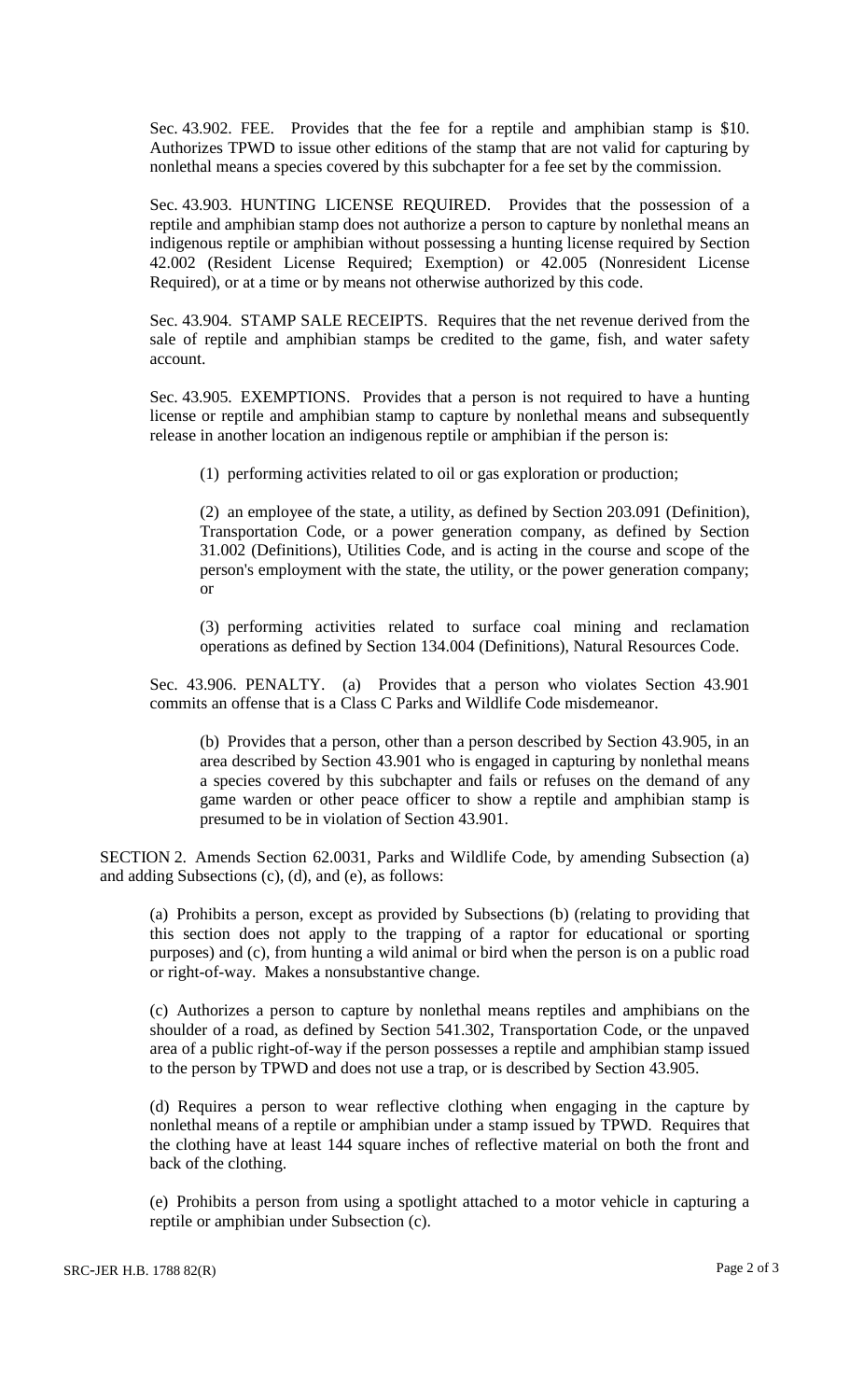Sec. 43.902. FEE. Provides that the fee for a reptile and amphibian stamp is \$10. Authorizes TPWD to issue other editions of the stamp that are not valid for capturing by nonlethal means a species covered by this subchapter for a fee set by the commission.

Sec. 43.903. HUNTING LICENSE REQUIRED. Provides that the possession of a reptile and amphibian stamp does not authorize a person to capture by nonlethal means an indigenous reptile or amphibian without possessing a hunting license required by Section 42.002 (Resident License Required; Exemption) or 42.005 (Nonresident License Required), or at a time or by means not otherwise authorized by this code.

Sec. 43.904. STAMP SALE RECEIPTS. Requires that the net revenue derived from the sale of reptile and amphibian stamps be credited to the game, fish, and water safety account.

Sec. 43.905. EXEMPTIONS. Provides that a person is not required to have a hunting license or reptile and amphibian stamp to capture by nonlethal means and subsequently release in another location an indigenous reptile or amphibian if the person is:

(1) performing activities related to oil or gas exploration or production;

(2) an employee of the state, a utility, as defined by Section 203.091 (Definition), Transportation Code, or a power generation company, as defined by Section 31.002 (Definitions), Utilities Code, and is acting in the course and scope of the person's employment with the state, the utility, or the power generation company; or

(3) performing activities related to surface coal mining and reclamation operations as defined by Section 134.004 (Definitions), Natural Resources Code.

Sec. 43.906. PENALTY. (a) Provides that a person who violates Section 43.901 commits an offense that is a Class C Parks and Wildlife Code misdemeanor.

(b) Provides that a person, other than a person described by Section 43.905, in an area described by Section 43.901 who is engaged in capturing by nonlethal means a species covered by this subchapter and fails or refuses on the demand of any game warden or other peace officer to show a reptile and amphibian stamp is presumed to be in violation of Section 43.901.

SECTION 2. Amends Section 62.0031, Parks and Wildlife Code, by amending Subsection (a) and adding Subsections (c), (d), and (e), as follows:

(a) Prohibits a person, except as provided by Subsections (b) (relating to providing that this section does not apply to the trapping of a raptor for educational or sporting purposes) and (c), from hunting a wild animal or bird when the person is on a public road or right-of-way. Makes a nonsubstantive change.

(c) Authorizes a person to capture by nonlethal means reptiles and amphibians on the shoulder of a road, as defined by Section 541.302, Transportation Code, or the unpaved area of a public right-of-way if the person possesses a reptile and amphibian stamp issued to the person by TPWD and does not use a trap, or is described by Section 43.905.

(d) Requires a person to wear reflective clothing when engaging in the capture by nonlethal means of a reptile or amphibian under a stamp issued by TPWD. Requires that the clothing have at least 144 square inches of reflective material on both the front and back of the clothing.

(e) Prohibits a person from using a spotlight attached to a motor vehicle in capturing a reptile or amphibian under Subsection (c).